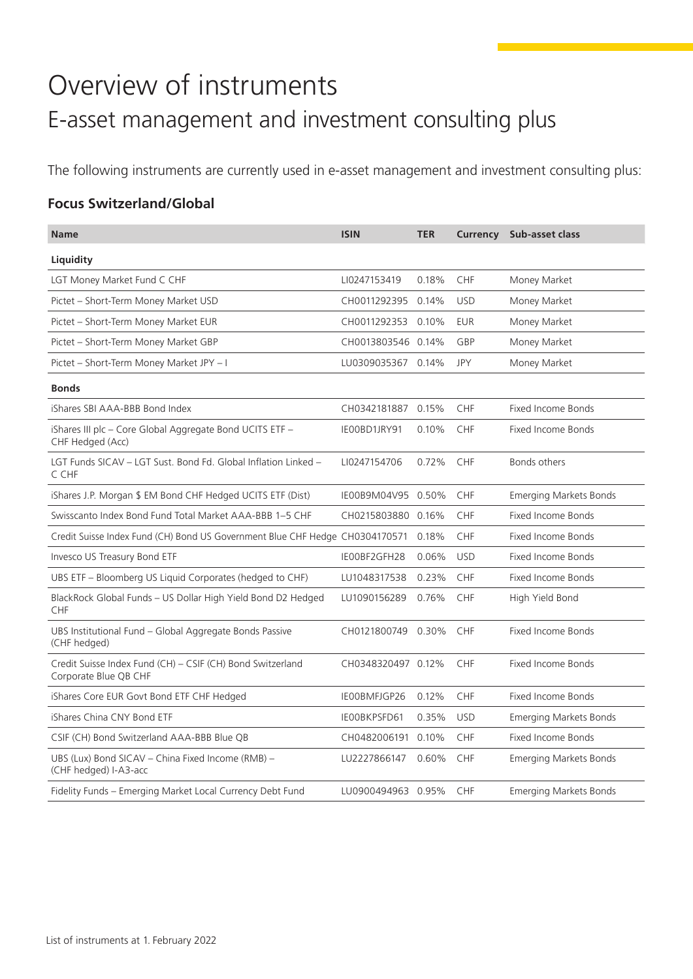# Overview of instruments E-asset management and investment consulting plus

The following instruments are currently used in e-asset management and investment consulting plus:

### **Focus Switzerland/Global**

| <b>Name</b>                                                                         | <b>ISIN</b>        | <b>TER</b> |            | <b>Currency</b> Sub-asset class |
|-------------------------------------------------------------------------------------|--------------------|------------|------------|---------------------------------|
| Liquidity                                                                           |                    |            |            |                                 |
| LGT Money Market Fund C CHF                                                         | LI0247153419       | 0.18%      | <b>CHF</b> | Money Market                    |
| Pictet - Short-Term Money Market USD                                                | CH0011292395 0.14% |            | <b>USD</b> | Money Market                    |
| Pictet - Short-Term Money Market EUR                                                | CH0011292353       | 0.10%      | <b>EUR</b> | Money Market                    |
| Pictet - Short-Term Money Market GBP                                                | CH0013803546 0.14% |            | GBP        | Money Market                    |
| Pictet - Short-Term Money Market JPY - I                                            | LU0309035367 0.14% |            | <b>JPY</b> | Money Market                    |
| <b>Bonds</b>                                                                        |                    |            |            |                                 |
| iShares SBI AAA-BBB Bond Index                                                      | CH0342181887       | 0.15%      | CHF        | <b>Fixed Income Bonds</b>       |
| iShares III plc - Core Global Aggregate Bond UCITS ETF -<br>CHF Hedged (Acc)        | IE00BD1JRY91       | 0.10%      | CHF        | Fixed Income Bonds              |
| LGT Funds SICAV - LGT Sust. Bond Fd. Global Inflation Linked -<br>C CHF             | LI0247154706       | 0.72%      | CHF        | Bonds others                    |
| iShares J.P. Morgan \$ EM Bond CHF Hedged UCITS ETF (Dist)                          | IE00B9M04V95 0.50% |            | <b>CHF</b> | <b>Emerging Markets Bonds</b>   |
| Swisscanto Index Bond Fund Total Market AAA-BBB 1-5 CHF                             | CH0215803880 0.16% |            | CHF        | <b>Fixed Income Bonds</b>       |
| Credit Suisse Index Fund (CH) Bond US Government Blue CHF Hedge CH0304170571        |                    | 0.18%      | <b>CHF</b> | Fixed Income Bonds              |
| Invesco US Treasury Bond ETF                                                        | IE00BF2GFH28       | 0.06%      | <b>USD</b> | <b>Fixed Income Bonds</b>       |
| UBS ETF - Bloomberg US Liquid Corporates (hedged to CHF)                            | LU1048317538       | 0.23%      | <b>CHF</b> | Fixed Income Bonds              |
| BlackRock Global Funds - US Dollar High Yield Bond D2 Hedged<br><b>CHF</b>          | LU1090156289       | 0.76%      | <b>CHF</b> | High Yield Bond                 |
| UBS Institutional Fund - Global Aggregate Bonds Passive<br>(CHF hedged)             | CH0121800749 0.30% |            | CHF        | Fixed Income Bonds              |
| Credit Suisse Index Fund (CH) - CSIF (CH) Bond Switzerland<br>Corporate Blue OB CHF | CH0348320497 0.12% |            | <b>CHF</b> | <b>Fixed Income Bonds</b>       |
| iShares Core EUR Govt Bond ETF CHF Hedged                                           | IE00BMFJGP26       | 0.12%      | <b>CHF</b> | <b>Fixed Income Bonds</b>       |
| iShares China CNY Bond ETF                                                          | IE00BKPSFD61       | 0.35%      | <b>USD</b> | <b>Emerging Markets Bonds</b>   |
| CSIF (CH) Bond Switzerland AAA-BBB Blue QB                                          | CH0482006191 0.10% |            | CHF        | <b>Fixed Income Bonds</b>       |
| UBS (Lux) Bond SICAV - China Fixed Income (RMB) -<br>(CHF hedged) I-A3-acc          | LU2227866147       | 0.60%      | CHF        | <b>Emerging Markets Bonds</b>   |
| Fidelity Funds - Emerging Market Local Currency Debt Fund                           | LU0900494963 0.95% |            | <b>CHF</b> | Emerging Markets Bonds          |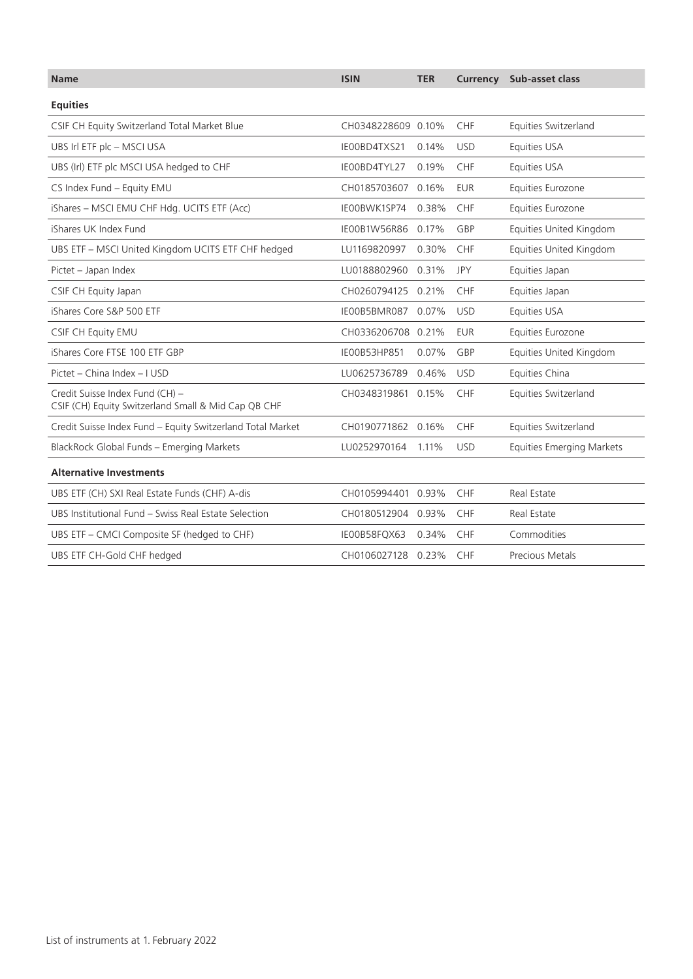| <b>Name</b>                                                                            | <b>ISIN</b>        | <b>TER</b> |            | <b>Currency</b> Sub-asset class  |
|----------------------------------------------------------------------------------------|--------------------|------------|------------|----------------------------------|
| <b>Equities</b>                                                                        |                    |            |            |                                  |
| CSIF CH Equity Switzerland Total Market Blue                                           | CH0348228609 0.10% |            | CHF        | Equities Switzerland             |
| UBS Irl ETF plc - MSCI USA                                                             | IE00BD4TXS21       | 0.14%      | <b>USD</b> | Equities USA                     |
| UBS (Irl) ETF plc MSCI USA hedged to CHF                                               | IE00BD4TYL27       | 0.19%      | CHF        | Equities USA                     |
| CS Index Fund - Equity EMU                                                             | CH0185703607 0.16% |            | <b>EUR</b> | Equities Eurozone                |
| iShares - MSCI EMU CHF Hdg. UCITS ETF (Acc)                                            | IE00BWK1SP74       | 0.38%      | CHF        | Equities Eurozone                |
| iShares UK Index Fund                                                                  | IE00B1W56R86       | 0.17%      | GBP        | Equities United Kingdom          |
| UBS ETF - MSCI United Kingdom UCITS ETF CHF hedged                                     | LU1169820997       | 0.30%      | <b>CHF</b> | Equities United Kingdom          |
| Pictet - Japan Index                                                                   | LU0188802960 0.31% |            | JPY        | Equities Japan                   |
| CSIF CH Equity Japan                                                                   | CH0260794125 0.21% |            | <b>CHF</b> | Equities Japan                   |
| iShares Core S&P 500 ETF                                                               | IE00B5BMR087       | 0.07%      | <b>USD</b> | Equities USA                     |
| CSIF CH Equity EMU                                                                     | CH0336206708 0.21% |            | <b>EUR</b> | Equities Eurozone                |
| iShares Core FTSE 100 ETF GBP                                                          | IE00B53HP851       | 0.07%      | GBP        | <b>Equities United Kingdom</b>   |
| Pictet - China Index - I USD                                                           | LU0625736789       | 0.46%      | <b>USD</b> | Equities China                   |
| Credit Suisse Index Fund (CH) -<br>CSIF (CH) Equity Switzerland Small & Mid Cap QB CHF | CH0348319861 0.15% |            | CHF        | Equities Switzerland             |
| Credit Suisse Index Fund - Equity Switzerland Total Market                             | CH0190771862 0.16% |            | <b>CHF</b> | Equities Switzerland             |
| BlackRock Global Funds - Emerging Markets                                              | LU0252970164       | 1.11%      | <b>USD</b> | <b>Equities Emerging Markets</b> |
| <b>Alternative Investments</b>                                                         |                    |            |            |                                  |
| UBS ETF (CH) SXI Real Estate Funds (CHF) A-dis                                         | CH0105994401 0.93% |            | CHF        | Real Estate                      |
| UBS Institutional Fund - Swiss Real Estate Selection                                   | CH0180512904 0.93% |            | <b>CHF</b> | Real Estate                      |
| UBS ETF – CMCI Composite SF (hedged to CHF)                                            | IE00B58FQX63       | 0.34%      | CHF        | Commodities                      |
| UBS ETF CH-Gold CHF hedged                                                             | CH0106027128 0.23% |            | <b>CHF</b> | <b>Precious Metals</b>           |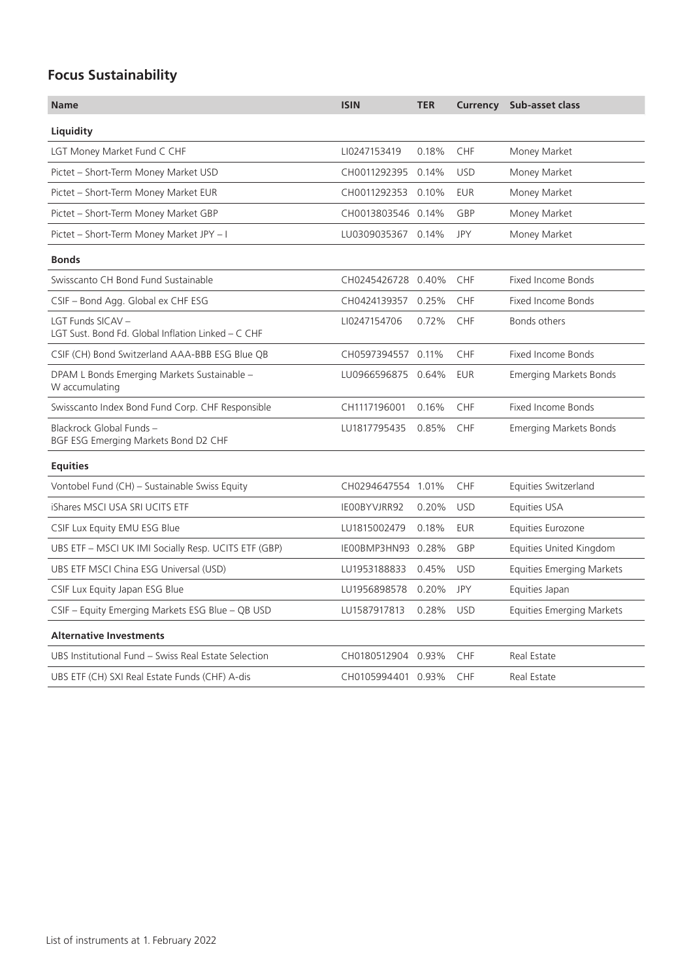## **Focus Sustainability**

| <b>Name</b>                                                             | <b>ISIN</b>        | <b>TER</b> |            | <b>Currency</b> Sub-asset class  |
|-------------------------------------------------------------------------|--------------------|------------|------------|----------------------------------|
| Liquidity                                                               |                    |            |            |                                  |
| LGT Money Market Fund C CHF                                             | LI0247153419       | 0.18%      | CHF        | Money Market                     |
| Pictet - Short-Term Money Market USD                                    | CH0011292395 0.14% |            | <b>USD</b> | Money Market                     |
| Pictet - Short-Term Money Market EUR                                    | CH0011292353 0.10% |            | <b>EUR</b> | Money Market                     |
| Pictet - Short-Term Money Market GBP                                    | CH0013803546 0.14% |            | GBP        | Money Market                     |
| Pictet - Short-Term Money Market JPY - I                                | LU0309035367 0.14% |            | JPY        | Money Market                     |
| <b>Bonds</b>                                                            |                    |            |            |                                  |
| Swisscanto CH Bond Fund Sustainable                                     | CH0245426728 0.40% |            | <b>CHF</b> | <b>Fixed Income Bonds</b>        |
| CSIF - Bond Agg. Global ex CHF ESG                                      | CH0424139357 0.25% |            | <b>CHF</b> | <b>Fixed Income Bonds</b>        |
| LGT Funds SICAV -<br>LGT Sust. Bond Fd. Global Inflation Linked – C CHF | LI0247154706       | 0.72%      | <b>CHF</b> | Bonds others                     |
| CSIF (CH) Bond Switzerland AAA-BBB ESG Blue QB                          | CH0597394557 0.11% |            | CHF        | <b>Fixed Income Bonds</b>        |
| DPAM L Bonds Emerging Markets Sustainable -<br>W accumulating           | LU0966596875 0.64% |            | <b>EUR</b> | <b>Emerging Markets Bonds</b>    |
| Swisscanto Index Bond Fund Corp. CHF Responsible                        | CH1117196001       | 0.16%      | <b>CHF</b> | <b>Fixed Income Bonds</b>        |
| Blackrock Global Funds -<br>BGF ESG Emerging Markets Bond D2 CHF        | LU1817795435       | 0.85%      | <b>CHF</b> | <b>Emerging Markets Bonds</b>    |
| <b>Equities</b>                                                         |                    |            |            |                                  |
| Vontobel Fund (CH) - Sustainable Swiss Equity                           | CH0294647554 1.01% |            | CHF        | Equities Switzerland             |
| iShares MSCI USA SRI UCITS ETF                                          | IE00BYVJRR92       | 0.20%      | <b>USD</b> | Equities USA                     |
| CSIF Lux Equity EMU ESG Blue                                            | LU1815002479       | 0.18%      | <b>EUR</b> | Equities Eurozone                |
| UBS ETF - MSCI UK IMI Socially Resp. UCITS ETF (GBP)                    | IE00BMP3HN93 0.28% |            | GBP        | <b>Equities United Kingdom</b>   |
| UBS ETF MSCI China ESG Universal (USD)                                  | LU1953188833       | 0.45%      | <b>USD</b> | <b>Equities Emerging Markets</b> |
| CSIF Lux Equity Japan ESG Blue                                          | LU1956898578       | 0.20%      | JPY        | Equities Japan                   |
| CSIF - Equity Emerging Markets ESG Blue - QB USD                        | LU1587917813       | 0.28%      | <b>USD</b> | <b>Equities Emerging Markets</b> |
| <b>Alternative Investments</b>                                          |                    |            |            |                                  |
| UBS Institutional Fund - Swiss Real Estate Selection                    | CH0180512904 0.93% |            | CHF        | Real Estate                      |
| UBS ETF (CH) SXI Real Estate Funds (CHF) A-dis                          | CH0105994401 0.93% |            | <b>CHF</b> | Real Estate                      |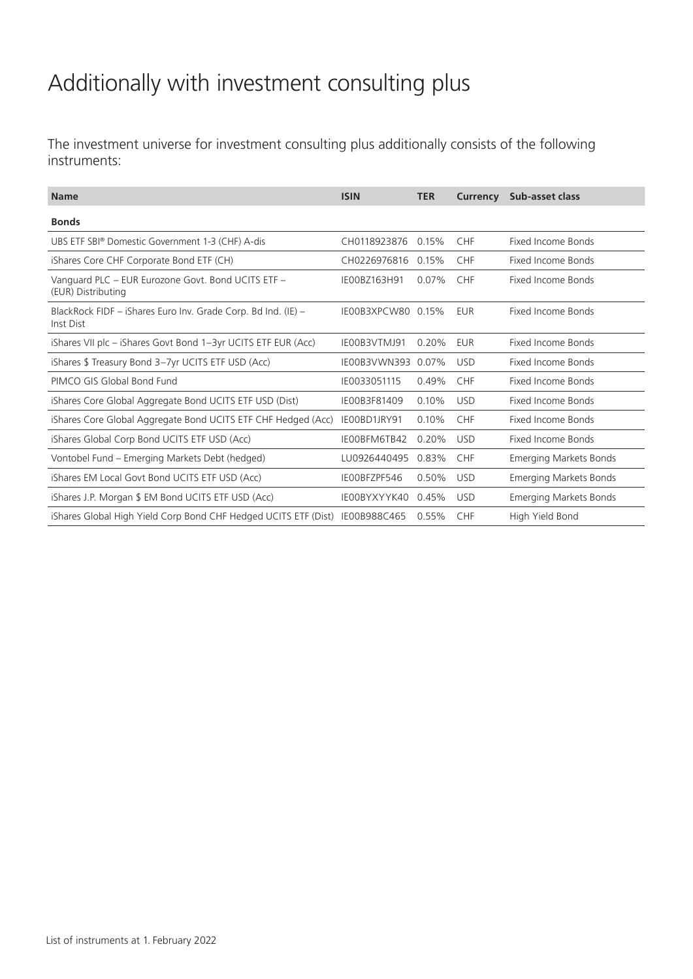## Additionally with investment consulting plus

The investment universe for investment consulting plus additionally consists of the following instruments:

| <b>Name</b>                                                                | <b>ISIN</b>        | <b>TER</b> | <b>Currency</b> | Sub-asset class               |
|----------------------------------------------------------------------------|--------------------|------------|-----------------|-------------------------------|
| <b>Bonds</b>                                                               |                    |            |                 |                               |
| UBS ETF SBI® Domestic Government 1-3 (CHF) A-dis                           | CH0118923876       | 0.15%      | <b>CHF</b>      | Fixed Income Bonds            |
| iShares Core CHF Corporate Bond ETF (CH)                                   | CH0226976816       | 0.15%      | <b>CHF</b>      | Fixed Income Bonds            |
| Vanguard PLC - EUR Eurozone Govt. Bond UCITS ETF -<br>(EUR) Distributing   | IE00BZ163H91       | 0.07%      | <b>CHF</b>      | Fixed Income Bonds            |
| BlackRock FIDF - iShares Euro Inv. Grade Corp. Bd Ind. (IE) -<br>Inst Dist | IE00B3XPCW80 0.15% |            | <b>EUR</b>      | Fixed Income Bonds            |
| iShares VII plc - iShares Govt Bond 1-3yr UCITS ETF EUR (Acc)              | IE00B3VTMJ91       | 0.20%      | <b>EUR</b>      | Fixed Income Bonds            |
| iShares \$ Treasury Bond 3-7yr UCITS ETF USD (Acc)                         | IE00B3VWN393       | 0.07%      | <b>USD</b>      | Fixed Income Bonds            |
| PIMCO GIS Global Bond Fund                                                 | IE0033051115       | 0.49%      | <b>CHF</b>      | Fixed Income Bonds            |
| iShares Core Global Aggregate Bond UCITS ETF USD (Dist)                    | IE00B3F81409       | 0.10%      | <b>USD</b>      | Fixed Income Bonds            |
| iShares Core Global Aggregate Bond UCITS ETF CHF Hedged (Acc)              | IE00BD1JRY91       | 0.10%      | <b>CHF</b>      | Fixed Income Bonds            |
| iShares Global Corp Bond UCITS ETF USD (Acc)                               | IE00BFM6TB42       | 0.20%      | <b>USD</b>      | Fixed Income Bonds            |
| Vontobel Fund – Emerging Markets Debt (hedged)                             | LU0926440495       | 0.83%      | <b>CHF</b>      | <b>Emerging Markets Bonds</b> |
| iShares EM Local Govt Bond UCITS ETF USD (Acc)                             | IEOOBFZPF546       | 0.50%      | <b>USD</b>      | <b>Emerging Markets Bonds</b> |
| iShares J.P. Morgan \$ EM Bond UCITS ETF USD (Acc)                         | IE00BYXYYK40       | 0.45%      | <b>USD</b>      | <b>Emerging Markets Bonds</b> |
| iShares Global High Yield Corp Bond CHF Hedged UCITS ETF (Dist)            | IE00B988C465       | 0.55%      | <b>CHF</b>      | High Yield Bond               |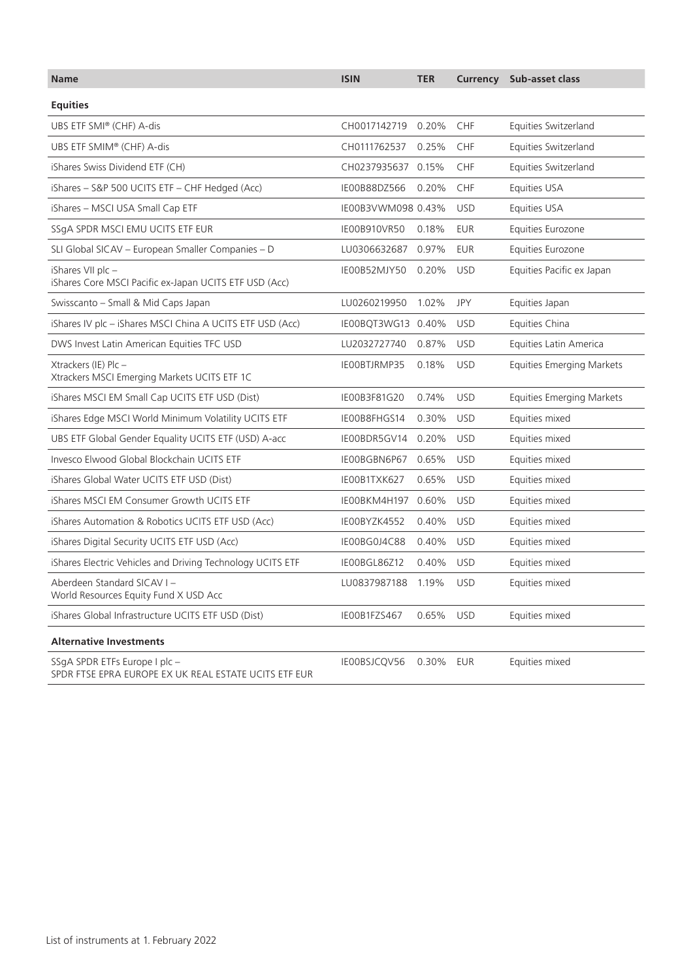| <b>Name</b>                                                                            | <b>ISIN</b>        | <b>TER</b> |            | <b>Currency</b> Sub-asset class  |
|----------------------------------------------------------------------------------------|--------------------|------------|------------|----------------------------------|
| <b>Equities</b>                                                                        |                    |            |            |                                  |
| UBS ETF SMI® (CHF) A-dis                                                               | CH0017142719 0.20% |            | CHF        | Equities Switzerland             |
| UBS ETF SMIM® (CHF) A-dis                                                              | CH0111762537       | 0.25%      | CHF        | Equities Switzerland             |
| iShares Swiss Dividend ETF (CH)                                                        | CH0237935637 0.15% |            | CHF        | Equities Switzerland             |
| iShares - S&P 500 UCITS ETF - CHF Hedged (Acc)                                         | IE00B88DZ566       | 0.20%      | CHF        | Equities USA                     |
| iShares - MSCI USA Small Cap ETF                                                       | IE00B3VWM098 0.43% |            | <b>USD</b> | Equities USA                     |
| SSgA SPDR MSCI EMU UCITS ETF EUR                                                       | IE00B910VR50       | 0.18%      | <b>EUR</b> | Equities Eurozone                |
| SLI Global SICAV - European Smaller Companies - D                                      | LU0306632687       | 0.97%      | <b>EUR</b> | Equities Eurozone                |
| iShares VII plc -<br>iShares Core MSCI Pacific ex-Japan UCITS ETF USD (Acc)            | IE00B52MJY50       | 0.20%      | <b>USD</b> | Equities Pacific ex Japan        |
| Swisscanto - Small & Mid Caps Japan                                                    | LU0260219950       | 1.02%      | JPY        | Equities Japan                   |
| iShares IV plc - iShares MSCI China A UCITS ETF USD (Acc)                              | IE00BQT3WG13 0.40% |            | <b>USD</b> | Equities China                   |
| DWS Invest Latin American Equities TFC USD                                             | LU2032727740       | 0.87%      | <b>USD</b> | Equities Latin America           |
| Xtrackers (IE) Plc -<br>Xtrackers MSCI Emerging Markets UCITS ETF 1C                   | IE00BTJRMP35       | 0.18%      | <b>USD</b> | <b>Equities Emerging Markets</b> |
| iShares MSCI EM Small Cap UCITS ETF USD (Dist)                                         | IE00B3F81G20       | 0.74%      | <b>USD</b> | <b>Equities Emerging Markets</b> |
| iShares Edge MSCI World Minimum Volatility UCITS ETF                                   | IE00B8FHGS14       | 0.30%      | <b>USD</b> | Equities mixed                   |
| UBS ETF Global Gender Equality UCITS ETF (USD) A-acc                                   | IE00BDR5GV14       | 0.20%      | <b>USD</b> | Equities mixed                   |
| Invesco Elwood Global Blockchain UCITS ETF                                             | IE00BGBN6P67       | 0.65%      | <b>USD</b> | Equities mixed                   |
| iShares Global Water UCITS ETF USD (Dist)                                              | IE00B1TXK627       | 0.65%      | <b>USD</b> | Equities mixed                   |
| iShares MSCI EM Consumer Growth UCITS ETF                                              | IE00BKM4H197       | 0.60%      | <b>USD</b> | Equities mixed                   |
| iShares Automation & Robotics UCITS ETF USD (Acc)                                      | IE00BYZK4552       | 0.40%      | <b>USD</b> | Equities mixed                   |
| iShares Digital Security UCITS ETF USD (Acc)                                           | IE00BG0J4C88       | 0.40%      | <b>USD</b> | Equities mixed                   |
| iShares Electric Vehicles and Driving Technology UCITS ETF                             | IE00BGL86Z12       | 0.40%      | <b>USD</b> | Equities mixed                   |
| Aberdeen Standard SICAV I -<br>World Resources Equity Fund X USD Acc                   | LU0837987188       | 1.19%      | <b>USD</b> | Equities mixed                   |
| iShares Global Infrastructure UCITS ETF USD (Dist)                                     | IE00B1FZS467       | 0.65%      | <b>USD</b> | Equities mixed                   |
| <b>Alternative Investments</b>                                                         |                    |            |            |                                  |
| SSgA SPDR ETFs Europe I plc -<br>SPDR FTSE EPRA EUROPE EX UK REAL ESTATE UCITS ETF EUR | IE00BSJCQV56       | 0.30% EUR  |            | Equities mixed                   |